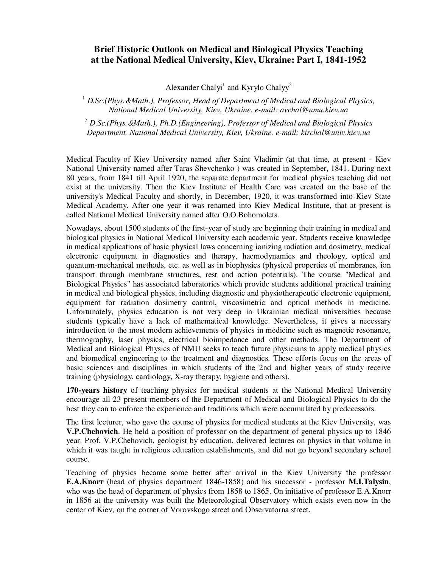## **Brief Historic Outlook on Medical and Biological Physics Teaching at the National Medical University, Kiev, Ukraine: Part I, 1841-1952**

Alexander Chalyi<sup>1</sup> and Kyrylo Chalyy<sup>2</sup>

<sup>1</sup> D.Sc.(Phys. &Math.), Professor, Head of Department of Medical and Biological Physics, *National Medical University, Kiev, Ukraine. e-mail: avchal@nmu.kiev.ua* 

2  *D.Sc.(Phys.&Math.), Ph.D.(Engineering), Professor of Medical and Biological Physics Department, National Medical University, Kiev, Ukraine. e-mail: kirchal@univ.kiev.ua* 

Medical Faculty of Kiev University named after Saint Vladimir (at that time, at present - Kiev National University named after Taras Shevchenko ) was created in September, 1841. During next 80 years, from 1841 till April 1920, the separate department for medical physics teaching did not exist at the university. Then the Kiev Institute of Health Care was created on the base of the university's Medical Faculty and shortly, in December, 1920, it was transformed into Kiev State Medical Academy. After one year it was renamed into Kiev Medical Institute, that at present is called National Medical University named after O.O.Bohomolets.

Nowadays, about 1500 students of the first-year of study are beginning their training in medical and biological physics in National Medical University each academic year. Students receive knowledge in medical applications of basic physical laws concerning ionizing radiation and dosimetry, medical electronic equipment in diagnostics and therapy, haemodynamics and rheology, optical and quantum-mechanical methods, etc. as well as in biophysics (physical properties of membranes, ion transport through membrane structures, rest and action potentials). The course "Medical and Biological Physics" has associated laboratories which provide students additional practical training in medical and biological physics, including diagnostic and physiotherapeutic electronic equipment, equipment for radiation dosimetry control, viscosimetric and optical methods in medicine. Unfortunately, physics education is not very deep in Ukrainian medical universities because students typically have a lack of mathematical knowledge. Nevertheless, it gives a necessary introduction to the most modern achievements of physics in medicine such as magnetic resonance, thermography, laser physics, electrical bioimpedance and other methods. The Department of Medical and Biological Physics of NMU seeks to teach future physicians to apply medical physics and biomedical engineering to the treatment and diagnostics. These efforts focus on the areas of basic sciences and disciplines in which students of the 2nd and higher years of study receive training (physiology, cardiology, X-ray therapy, hygiene and others).

**170-years history** of teaching physics for medical students at the National Medical University encourage all 23 present members of the Department of Medical and Biological Physics to do the best they can to enforce the experience and traditions which were accumulated by predecessors.

The first lecturer, who gave the course of physics for medical students at the Kiev University, was **V.P.Chehovich**. He held a position of professor on the department of general physics up to 1846 year. Prof. V.P.Chehovich, geologist by education, delivered lectures on physics in that volume in which it was taught in religious education establishments, and did not go beyond secondary school course.

Teaching of physics became some better after arrival in the Kiev University the professor **E.A.Knorr** (head of physics department 1846-1858) and his successor - professor **M.I.Talysin**, who was the head of department of physics from 1858 to 1865. On initiative of professor E.A.Knorr in 1856 at the university was built the Meteorological Observatory which exists even now in the center of Kiev, on the corner of Vorovskogo street and Observatorna street.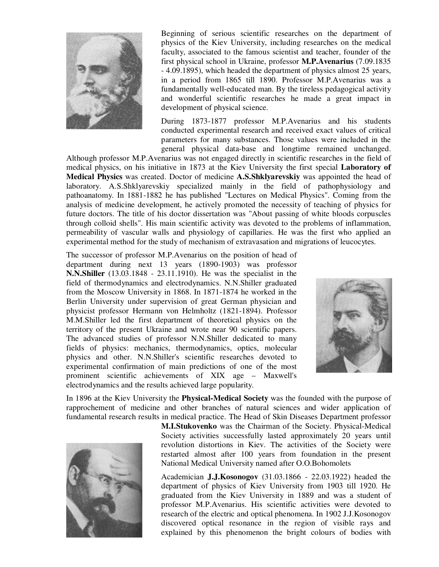

Beginning of serious scientific researches on the department of physics of the Kiev University, including researches on the medical faculty, associated to the famous scientist and teacher, founder of the first physical school in Ukraine, professor **M.P.Avenarius** (7.09.1835 - 4.09.1895), which headed the department of physics almost 25 years, in a period from 1865 till 1890. Professor M.P.Avenarius was a fundamentally well-educated man. By the tireless pedagogical activity and wonderful scientific researches he made a great impact in development of physical science.

During 1873-1877 professor M.P.Avenarius and his students conducted experimental research and received exact values of critical parameters for many substances. Those values were included in the general physical data-base and longtime remained unchanged.

Although professor M.P.Avenarius was not engaged directly in scientific researches in the field of medical physics, on his initiative in 1873 at the Kiev University the first special **Laboratory of Medical Physics** was created. Doctor of medicine **A.S.Shklyarevskiy** was appointed the head of laboratory. A.S.Shklyarevskiy specialized mainly in the field of pathophysiology and pathoanatomy. In 1881-1882 he has published "Lectures on Medical Physics". Coming from the analysis of medicine development, he actively promoted the necessity of teaching of physics for future doctors. The title of his doctor dissertation was "About passing of white bloods corpuscles through colloid shells". His main scientific activity was devoted to the problems of inflammation, permeability of vascular walls and physiology of capillaries. He was the first who applied an experimental method for the study of mechanism of extravasation and migrations of leucocytes.

The successor of professor M.P.Avenarius on the position of head of department during next 13 years (1890-1903) was professor **N.N.Shiller** (13.03.1848 - 23.11.1910). He was the specialist in the field of thermodynamics and electrodynamics. N.N.Shiller graduated from the Moscow University in 1868. In 1871-1874 he worked in the Berlin University under supervision of great German physician and physicist professor Hermann von Helmholtz (1821-1894). Professor M.M.Shiller led the first department of theoretical physics on the territory of the present Ukraine and wrote near 90 scientific papers. The advanced studies of professor N.N.Shiller dedicated to many fields of physics: mechanics, thermodynamics, optics, molecular physics and other. N.N.Shiller's scientific researches devoted to experimental confirmation of main predictions of one of the most prominent scientific achievements of XIX age – Maxwell's electrodynamics and the results achieved large popularity.



In 1896 at the Kiev University the **Physical-Medical Society** was the founded with the purpose of rapprochement of medicine and other branches of natural sciences and wider application of fundamental research results in medical practice. The Head of Skin Diseases Department professor



**M.I.Stukovenko** was the Chairman of the Society. Physical-Medical Society activities successfully lasted approximately 20 years until revolution distortions in Kiev. The activities of the Society were restarted almost after 100 years from foundation in the present National Medical University named after O.O.Bohomolets

Academician **J.J.Kosonogov** (31.03.1866 - 22.03.1922) headed the department of physics of Kiev University from 1903 till 1920. He graduated from the Kiev University in 1889 and was a student of professor M.P.Avenarius. His scientific activities were devoted to research of the electric and optical phenomena. In 1902 J.J.Kosonogov discovered optical resonance in the region of visible rays and explained by this phenomenon the bright colours of bodies with